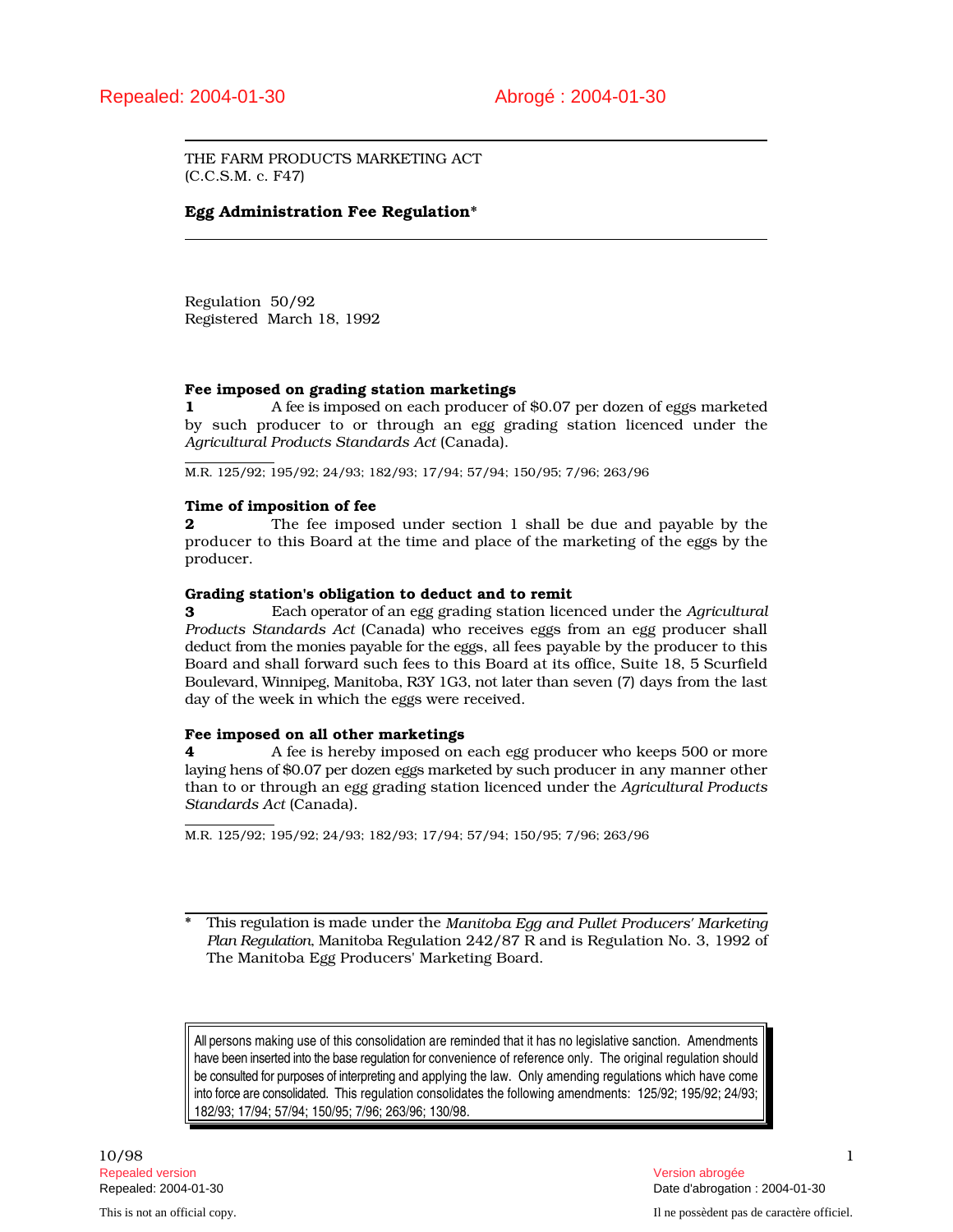THE FARM PRODUCTS MARKETING ACT (C.C.S.M. c. F47)

# Egg Administration Fee Regulation\*

Regulation 50/92 Registered March 18, 1992

# Fee imposed on grading station marketings

1 A fee is imposed on each producer of \$0.07 per dozen of eggs marketed by such producer to or through an egg grading station licenced under the *Agricultural Products Standards Act* (Canada).

M.R. 125/92; 195/92; 24/93; 182/93; 17/94; 57/94; 150/95; 7/96; 263/96

# Time of imposition of fee

**2** The fee imposed under section 1 shall be due and payable by the producer to this Board at the time and place of the marketing of the eggs by the producer.

# Grading station's obligation to deduct and to remit

3 Each operator of an egg grading station licenced under the *Agricultural Products Standards Act* (Canada) who receives eggs from an egg producer shall deduct from the monies payable for the eggs, all fees payable by the producer to this Board and shall forward such fees to this Board at its office, Suite 18, 5 Scurfield Boulevard, Winnipeg, Manitoba, R3Y 1G3, not later than seven (7) days from the last day of the week in which the eggs were received.

# Fee imposed on all other marketings

4 A fee is hereby imposed on each egg producer who keeps 500 or more laying hens of \$0.07 per dozen eggs marketed by such producer in any manner other than to or through an egg grading station licenced under the *Agricultural Products Standards Act* (Canada).

M.R. 125/92; 195/92; 24/93; 182/93; 17/94; 57/94; 150/95; 7/96; 263/96

\* This regulation is made under the *Manitoba Egg and Pullet Producers' Marketing Plan Regulation*, Manitoba Regulation 242/87 R and is Regulation No. 3, 1992 of The Manitoba Egg Producers' Marketing Board.

All persons making use of this consolidation are reminded that it has no legislative sanction. Amendments have been inserted into the base regulation for convenience of reference only. The original regulation should be consulted for purposes of interpreting and applying the law. Only amending regulations which have come into force are consolidated. This regulation consolidates the following amendments: 125/92; 195/92; 24/93; 182/93; 17/94; 57/94; 150/95; 7/96; 263/96; 130/98.

10/98 1 Repealed version abrogée et al. Alian abrogée et al. Alian abrogée et al. Alian abrogée et al. Alian abrogée e

Repealed: 2004-01-30 Date d'abrogation : 2004-01-30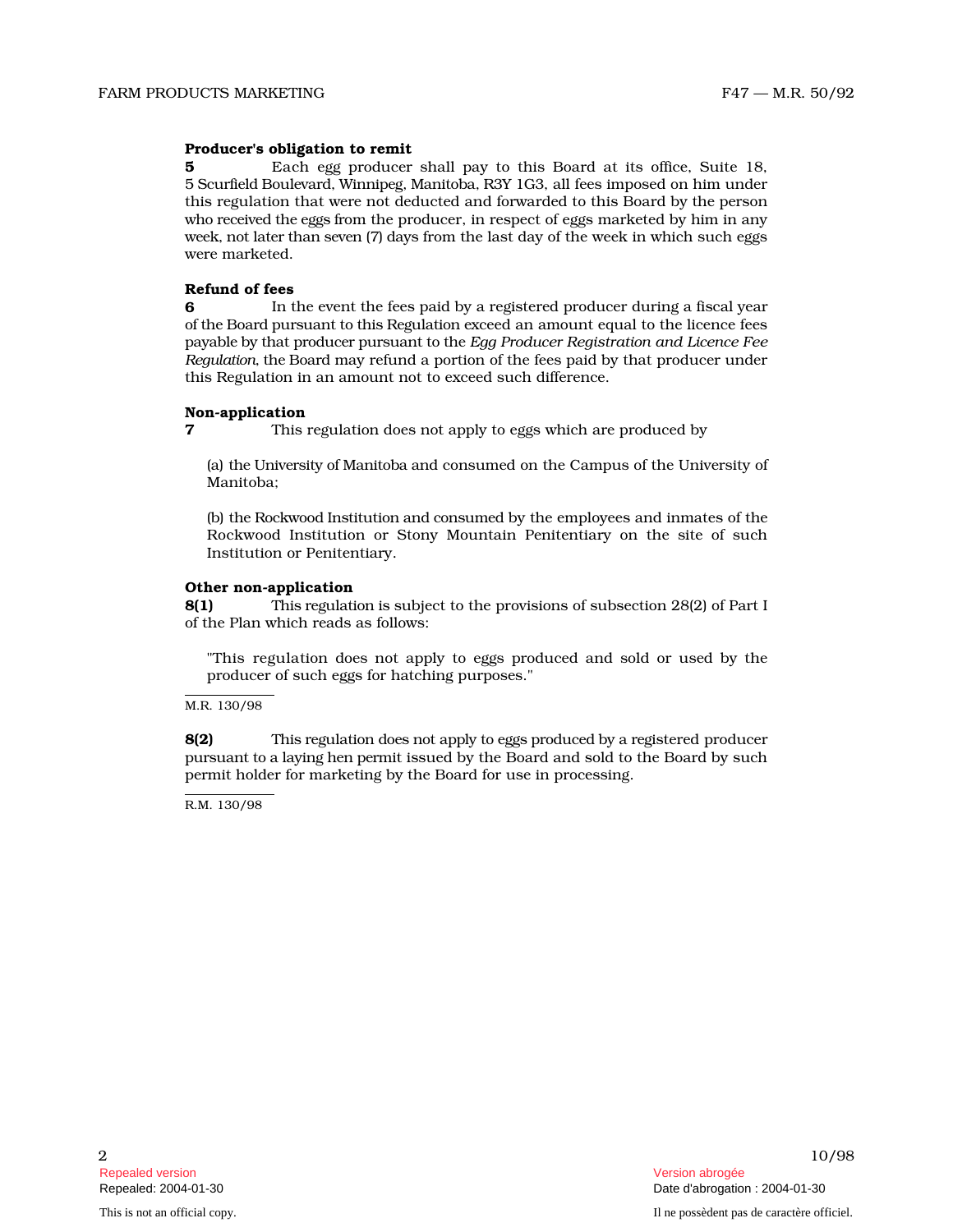# Producer's obligation to remit

**5** Each egg producer shall pay to this Board at its office, Suite 18, 5 Scurfield Boulevard, Winnipeg, Manitoba, R3Y 1G3, all fees imposed on him under this regulation that were not deducted and forwarded to this Board by the person who rece ived the eggs from the producer, in respect of eggs marketed by him in any week, not later than seven (7) days from the last day of the week in which such eggs were marketed.

#### Refund of fees

6 **In the event the fees paid by a registered producer during a fiscal year** of the Board pursuant to this Regulation exceed an amount equal to the licence fees payable by that producer pursuant to the *Egg Producer Registration and Licence Fee Regulation*, the Board may refund a portion of the fees paid by that producer under this Regulation in an amount not to exceed such difference.

#### Non-application

7 This regulation does not apply to eggs which are produced by

(a) the University of Manitoba and consumed on the Campus of the University of Manitoba;

(b) the Rockwood Institution and consumed by the employees and inmates of the Rockwood Institution or Stony Mountain Penitentiary on the site of such Institution or Penitentiary.

#### Other non-application

8(1) This regulation is subject to the provisions of subsection 28(2) of Part I of the Plan which reads as follows:

"This regulation does not apply to eggs produced and sold or used by the producer of such eggs for hatching purposes."

M.R. 130/98

8(2) This regulation does not apply to eggs produced by a registered producer pursuant to a laying hen permit issued by the Board and sold to the Board by such permit holder for marketing by the Board for use in processing.

R.M. 130/98